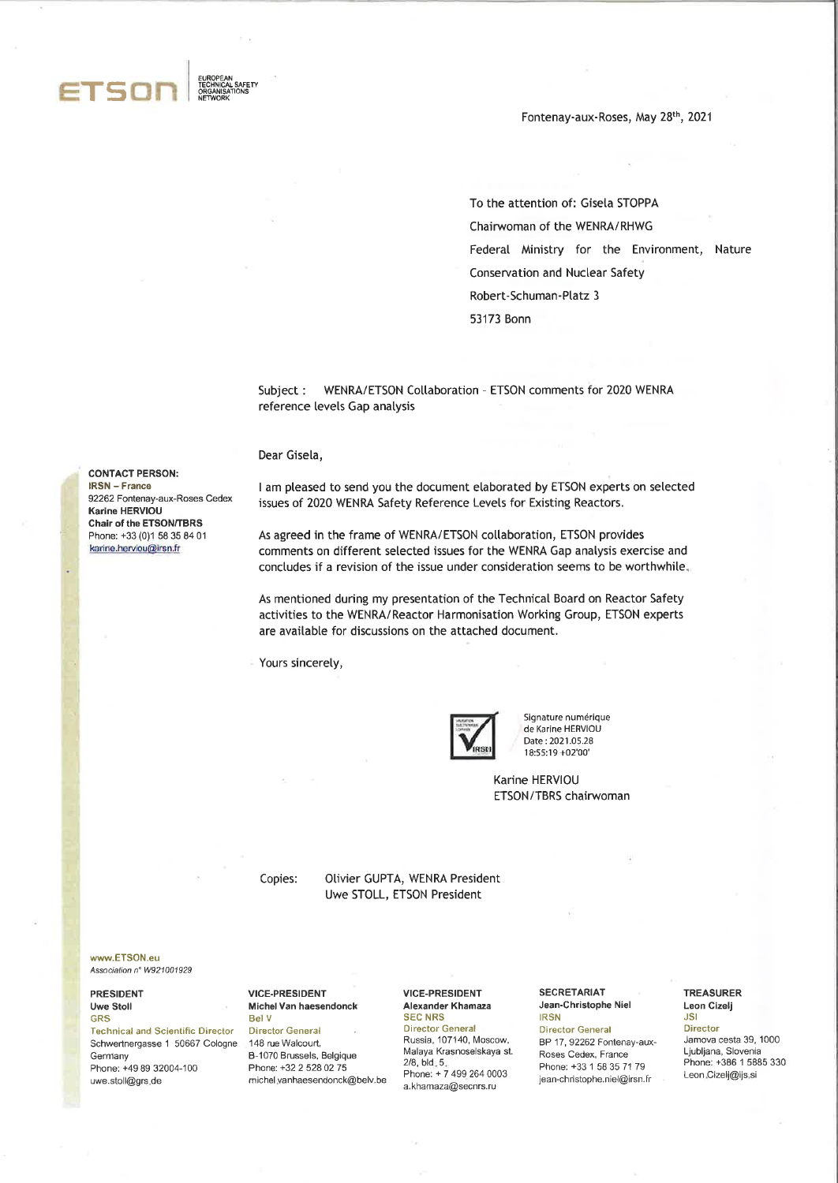

**CONTACT PERSON: IRSN** - France

Karine HERVIOU Chair of the ETSON/TBRS

92262 Fontenay-aux-Roses Cedex

Phone: +33 (0)1 58 35 84 01 karine.herviou@irsn.fr

Fontenay-aux-Roses, May 28th, 2021

To the attention of: Gisela STOPPA Chairwoman of the WENRA/RHWG Federal Ministry for the Environment, Nature **Conservation and Nuclear Safety** Robert-Schuman-Platz 3 53173 Bonn

Subject: WENRA/ETSON Collaboration - ETSON comments for 2020 WENRA reference levels Gap analysis

Dear Gisela,

I am pleased to send you the document elaborated by ETSON experts on selected issues of 2020 WENRA Safety Reference Levels for Existing Reactors.

As agreed in the frame of WENRA/ETSON collaboration, ETSON provides comments on different selected issues for the WENRA Gap analysis exercise and concludes if a revision of the issue under consideration seems to be worthwhile.

As mentioned during my presentation of the Technical Board on Reactor Safety activities to the WENRA/Reactor Harmonisation Working Group, ETSON experts are available for discussions on the attached document.

Yours sincerely,



Signature numérique de Karine HERVIOU Date: 2021.05.28 18:55:19 +02'00'

Karine HERVIOU ETSON/TBRS chairwoman

Copies:

Olivier GUPTA, WENRA President Uwe STOLL, ETSON President

www.ETSON.eu Association nº W921001929

#### **PRESIDENT Uwe Stoll GRS**

**Technical and Scientific Director** Schwertnergasse 1 50667 Cologne Germany Phone: +49 89 32004-100 uwe.stoll@grs.de

### **VICE-PRESIDENT** Michel Van haesendonck **Bel V**

**Director General** 

148 rue Walcourt, B-1070 Brussels, Belgique Phone: +32 2 528 02 75 michel vanhaesendonck@belv.be **VICE-PRESIDENT** Alexander Khamaza **SEC NRS Director General** Russia, 107140, Moscow, Malaya Krasnoselskaya st.  $2/8$ , bld. 5. Phone: +7 499 264 0003 a.khamaza@secnrs.ru

**SECRETARIAT** Jean-Christophe Niel **IRSN** 

**Director General** BP 17, 92262 Fontenay-aux-Roses Cedex, France Phone: +33 1 58 35 71 79 jean-christophe.niel@irsn.fr

## **TREASURER** Leon Cizelj JSI

### Director

Jamova cesta 39, 1000 Ljubljana, Slovenia Phone: +386 1 5885 330 Leon Cizelj@ijs si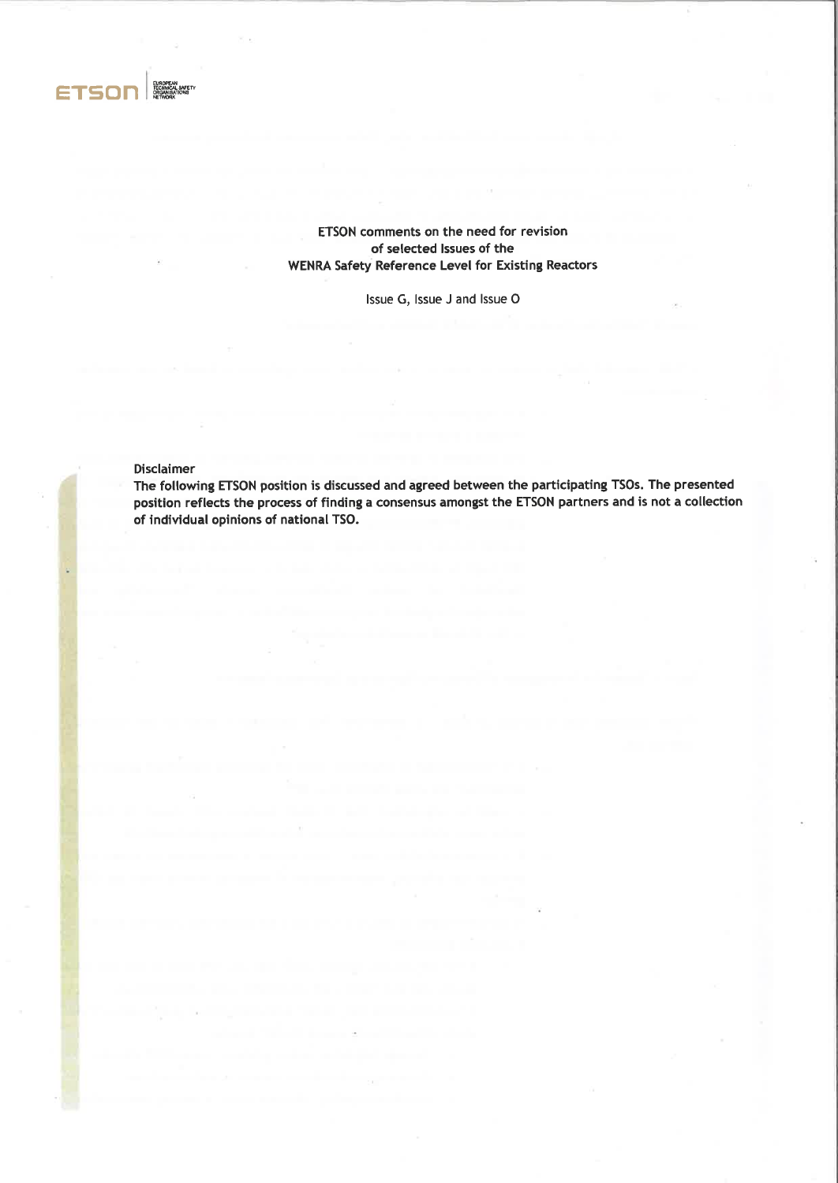

# ETSON comments on the need for revision of selected lssues of the WENRA Safety Reference Level for Existing Reactors

lssue G, lssue J and lssue O

Disclaimer

The following ETSON position is discussed and agreed between the participating TSOs. The presented position reflects the process of finding a consensus amongst the ETSON partners and is not a collection of individual opinions of national TSO.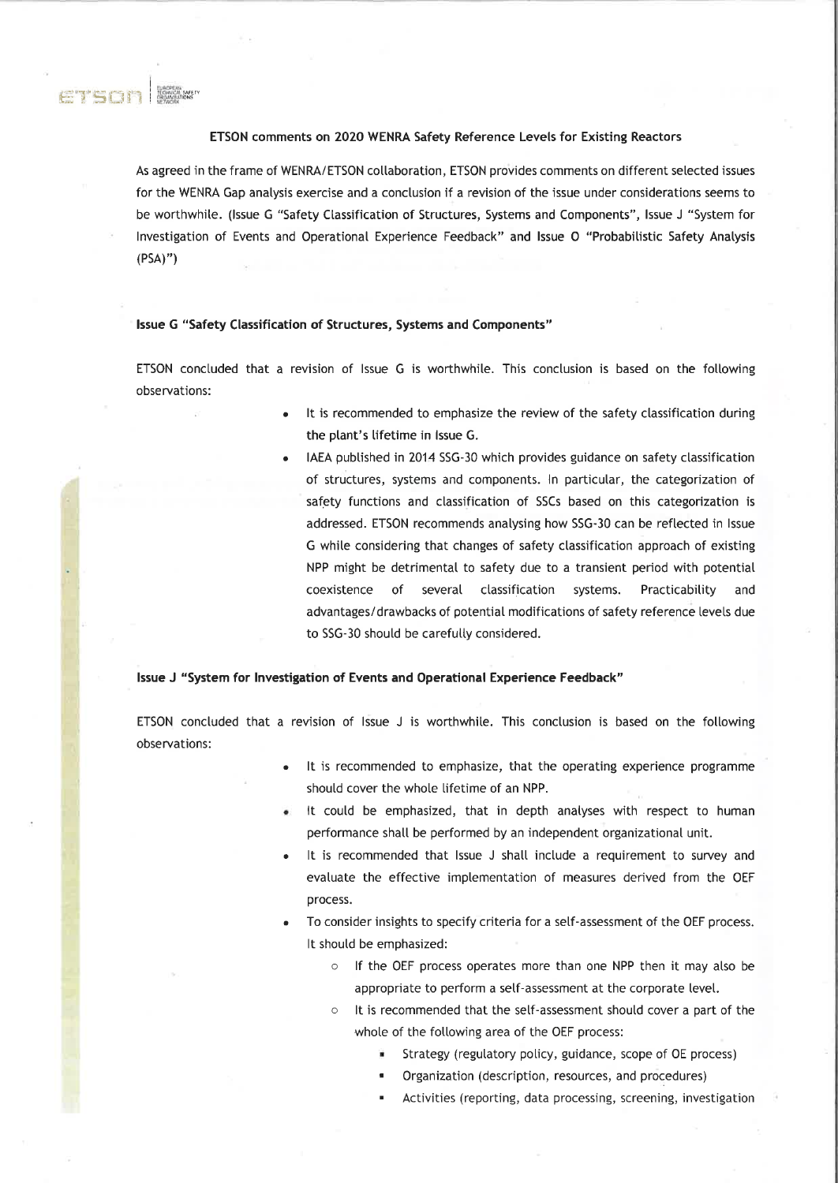

## ETSON comments on 2020 WENRA Safety Reference Levels for Existing Reactors

As agreed in the frame of WENRA/ETSON collaboration, ETSON provides comments on different selected issues for the WENRA Gap analysis exercise and a conclusion if a revision of the issue under considerations seems to be worthwhile. (Issue G "Safety Classification of Structures, Systems and Components", Issue J "System for Investigation of Events and Operational Experience Feedback" and Issue O "Probabilistic Safety Analysis  $(PSA)$ ")

## Issue G "Safety Classification of Structures, Systems and Components"

ETSON concluded that a revision of Issue G is worthwhile. This conclusion is based on the following observations:

- It is recommended to emphasize the review of the safety classification during the plant's lifetime in Issue G.
	- IAEA published in 2014 SSG-30 which provides guidance on safety classification of structures, systems and components. In particular, the categorization of safety functions and classification of SSCs based on this categorization is addressed. ETSON recommends analysing how SSG-30 can be reflected in Issue G while considering that changes of safety classification approach of existing NPP might be detrimental to safety due to a transient period with potential coexistence of several classification systems. Practicability and advantages/drawbacks of potential modifications of safety reference levels due to SSG-30 should be carefully considered.

## Issue J "System for Investigation of Events and Operational Experience Feedback"

ETSON concluded that a revision of Issue J is worthwhile. This conclusion is based on the following observations:

- It is recommended to emphasize, that the operating experience programme should cover the whole lifetime of an NPP.
- It could be emphasized, that in depth analyses with respect to human performance shall be performed by an independent organizational unit.
- It is recommended that Issue J shall include a requirement to survey and evaluate the effective implementation of measures derived from the OEF process.
- To consider insights to specify criteria for a self-assessment of the OEF process. It should be emphasized:
	- o If the OEF process operates more than one NPP then it may also be appropriate to perform a self-assessment at the corporate level.
	- It is recommended that the self-assessment should cover a part of the whole of the following area of the OEF process:
		- Strategy (regulatory policy, guidance, scope of OE process)
		- Organization (description, resources, and procedures)
		- Activities (reporting, data processing, screening, investigation